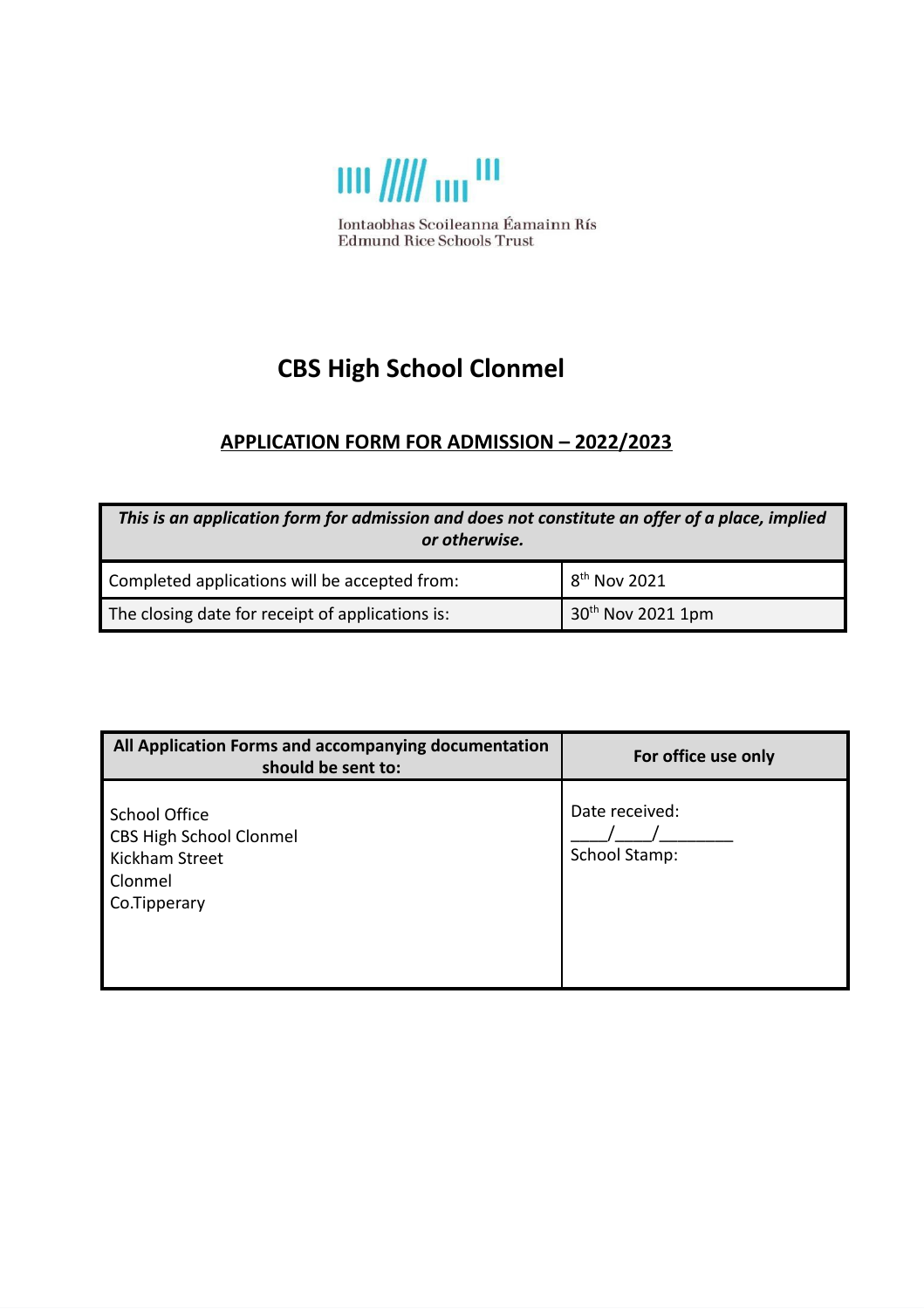

# **CBS High School Clonmel**

## **APPLICATION FORM FOR ADMISSION – 2022/2023**

| This is an application form for admission and does not constitute an offer of a place, implied<br>or otherwise. |                           |  |  |  |
|-----------------------------------------------------------------------------------------------------------------|---------------------------|--|--|--|
| Completed applications will be accepted from:                                                                   | $18^{\text{th}}$ Nov 2021 |  |  |  |
| $30th$ Nov 2021 1pm<br>The closing date for receipt of applications is:                                         |                           |  |  |  |

| All Application Forms and accompanying documentation<br>should be sent to:                          | For office use only             |
|-----------------------------------------------------------------------------------------------------|---------------------------------|
| <b>School Office</b><br><b>CBS High School Clonmel</b><br>Kickham Street<br>Clonmel<br>Co.Tipperary | Date received:<br>School Stamp: |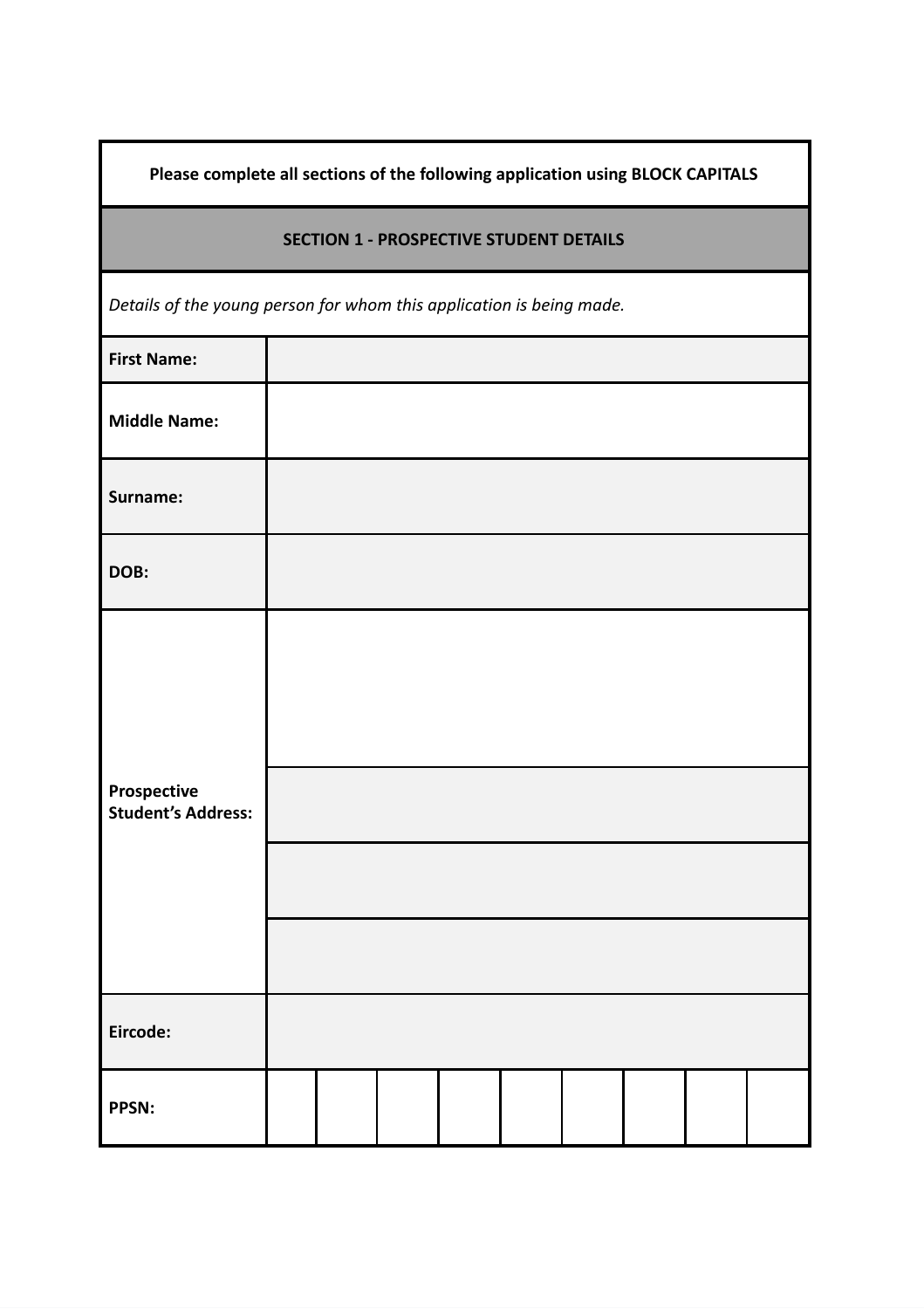| Please complete all sections of the following application using BLOCK CAPITALS |  |  |  |  |  |  |  |  |
|--------------------------------------------------------------------------------|--|--|--|--|--|--|--|--|
| <b>SECTION 1 - PROSPECTIVE STUDENT DETAILS</b>                                 |  |  |  |  |  |  |  |  |
| Details of the young person for whom this application is being made.           |  |  |  |  |  |  |  |  |
| <b>First Name:</b>                                                             |  |  |  |  |  |  |  |  |
| <b>Middle Name:</b>                                                            |  |  |  |  |  |  |  |  |
| Surname:                                                                       |  |  |  |  |  |  |  |  |
| DOB:                                                                           |  |  |  |  |  |  |  |  |
| Prospective<br><b>Student's Address:</b>                                       |  |  |  |  |  |  |  |  |
| Eircode:                                                                       |  |  |  |  |  |  |  |  |
| PPSN:                                                                          |  |  |  |  |  |  |  |  |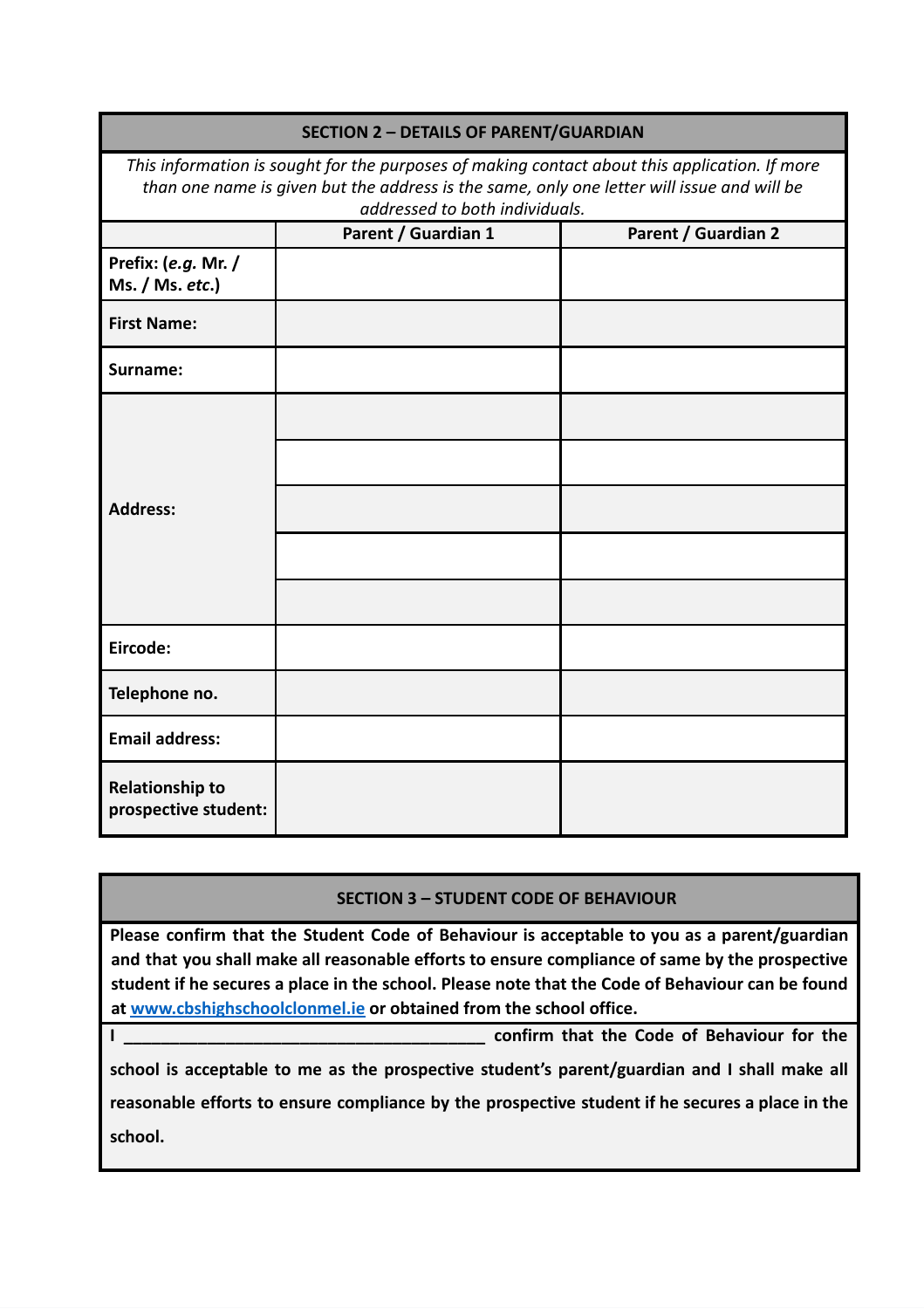| <b>SECTION 2 - DETAILS OF PARENT/GUARDIAN</b>                                                                                                                                                                                 |                     |                     |  |  |
|-------------------------------------------------------------------------------------------------------------------------------------------------------------------------------------------------------------------------------|---------------------|---------------------|--|--|
| This information is sought for the purposes of making contact about this application. If more<br>than one name is given but the address is the same, only one letter will issue and will be<br>addressed to both individuals. |                     |                     |  |  |
|                                                                                                                                                                                                                               | Parent / Guardian 1 | Parent / Guardian 2 |  |  |
| Prefix: (e.g. Mr. /<br>Ms. / Ms. etc.)                                                                                                                                                                                        |                     |                     |  |  |
| <b>First Name:</b>                                                                                                                                                                                                            |                     |                     |  |  |
| Surname:                                                                                                                                                                                                                      |                     |                     |  |  |
| <b>Address:</b>                                                                                                                                                                                                               |                     |                     |  |  |
|                                                                                                                                                                                                                               |                     |                     |  |  |
| Eircode:                                                                                                                                                                                                                      |                     |                     |  |  |
| Telephone no.                                                                                                                                                                                                                 |                     |                     |  |  |
| <b>Email address:</b>                                                                                                                                                                                                         |                     |                     |  |  |
| <b>Relationship to</b><br>prospective student:                                                                                                                                                                                |                     |                     |  |  |

### **SECTION 3 – STUDENT CODE OF BEHAVIOUR**

**Please confirm that the Student Code of Behaviour is acceptable to you as a parent/guardian and that you shall make all reasonable efforts to ensure compliance of same by the prospective** student if he secures a place in the school. Please note that the Code of Behaviour can be found **at [www.cbshighschoolclonm](http://www.cbshighschoolclon/)el.ie or obtained from the school office.**

**I \_\_\_\_\_\_\_\_\_\_\_\_\_\_\_\_\_\_\_\_\_\_\_\_\_\_\_\_\_\_\_\_\_\_\_\_\_\_\_ confirm that the Code of Behaviour for the**

**school is acceptable to me as the prospective student's parent/guardian and I shall make all reasonable efforts to ensure compliance by the prospective student if he secures a place in the school.**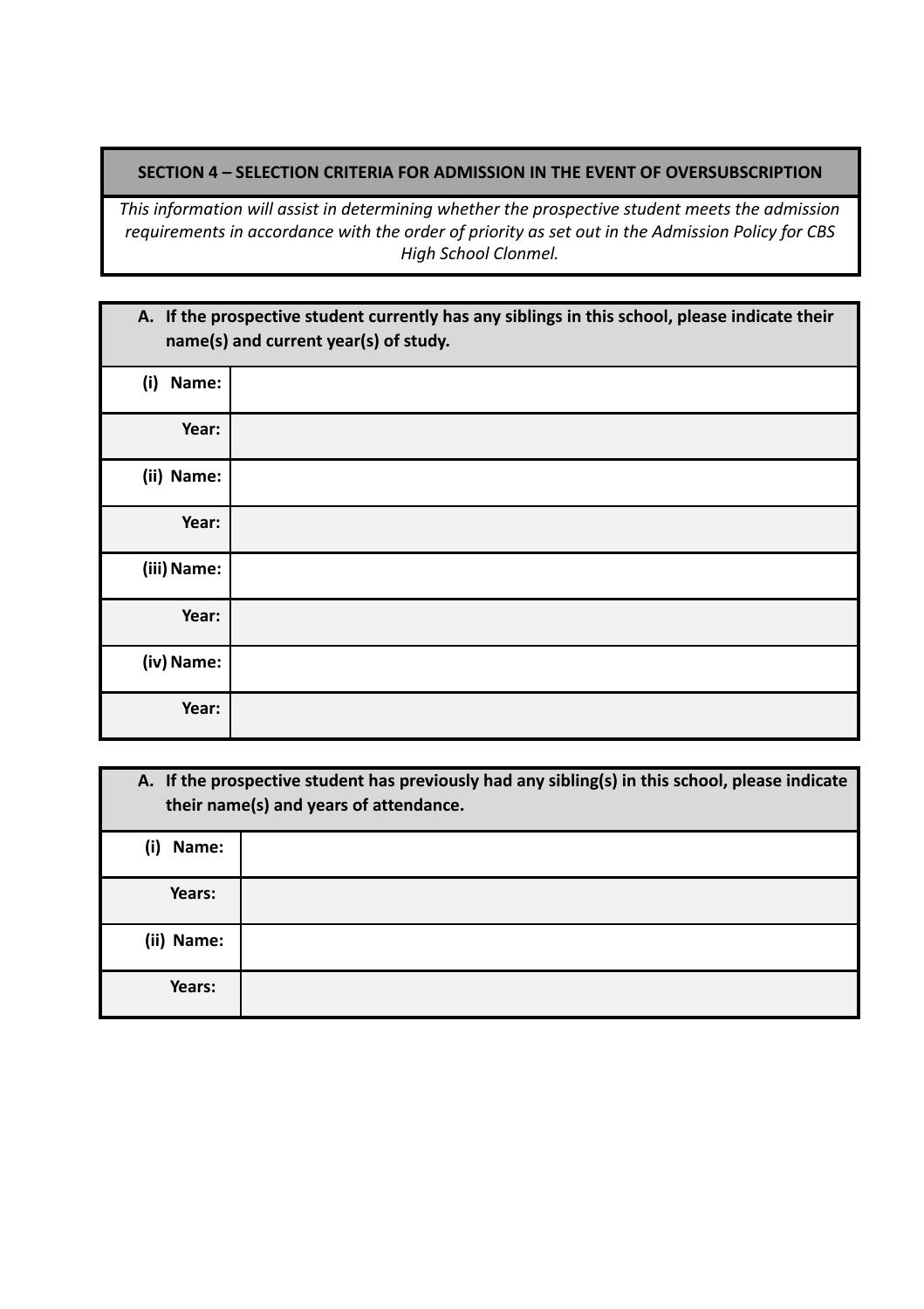#### **SECTION 4 – SELECTION CRITERIA FOR ADMISSION IN THE EVENT OF OVERSUBSCRIPTION**

*This information will assist in determining whether the prospective student meets the admission requirements in accordance with the order of priority as set out in the Admission Policy for CBS High School Clonmel.*

|              | A. If the prospective student currently has any siblings in this school, please indicate their<br>name(s) and current year(s) of study. |
|--------------|-----------------------------------------------------------------------------------------------------------------------------------------|
| (i)<br>Name: |                                                                                                                                         |
| Year:        |                                                                                                                                         |
| (ii) Name:   |                                                                                                                                         |
| Year:        |                                                                                                                                         |
| (iii) Name:  |                                                                                                                                         |
| Year:        |                                                                                                                                         |
| (iv) Name:   |                                                                                                                                         |
| Year:        |                                                                                                                                         |

|              | A. If the prospective student has previously had any sibling(s) in this school, please indicate<br>their name(s) and years of attendance. |
|--------------|-------------------------------------------------------------------------------------------------------------------------------------------|
| (i)<br>Name: |                                                                                                                                           |
| Years:       |                                                                                                                                           |
| (ii) Name:   |                                                                                                                                           |
| Years:       |                                                                                                                                           |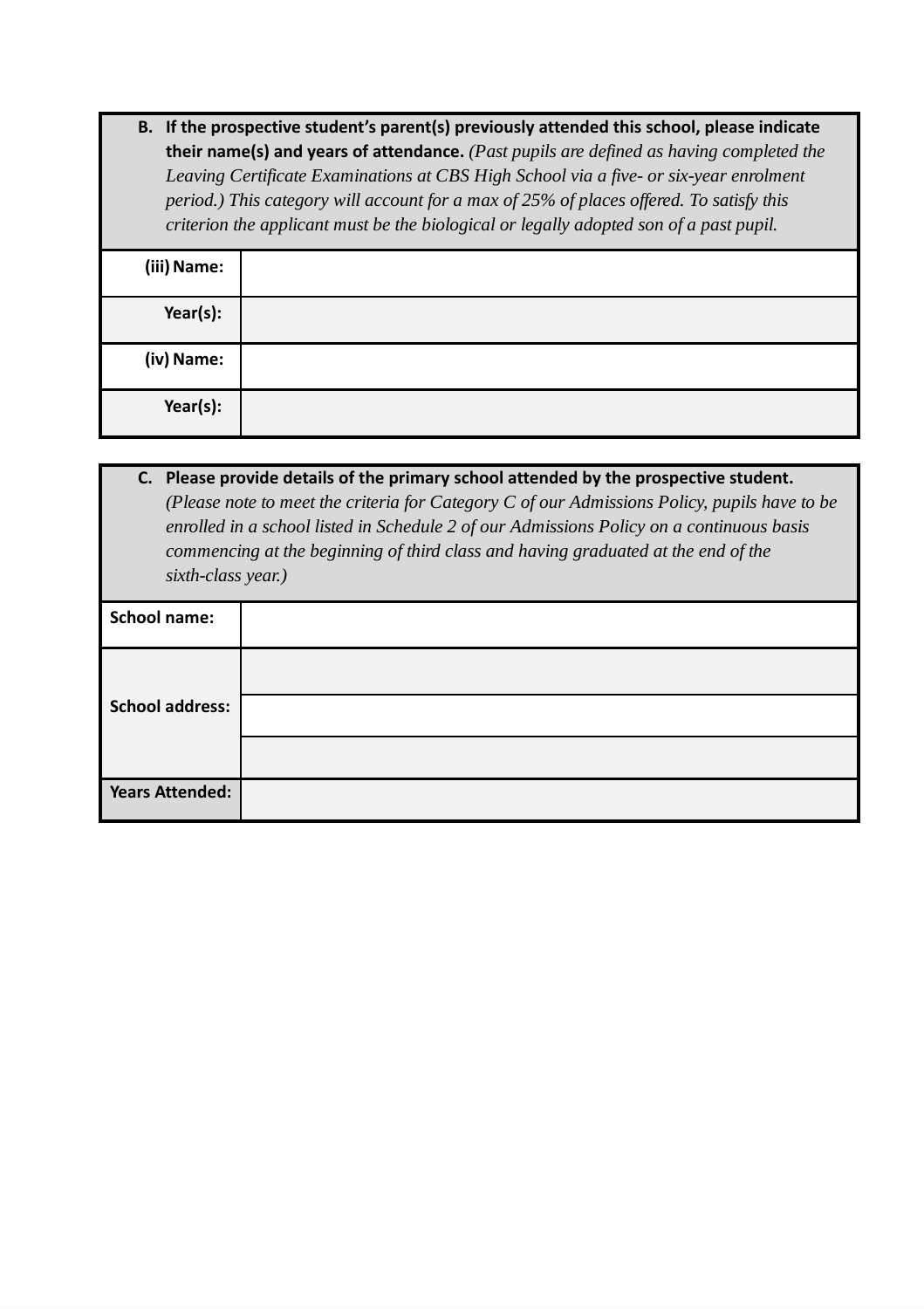**B. If the prospective student's parent(s) previously attended this school, please indicate their name(s) and years of attendance.** *(Past pupils are defined as having completed the Leaving Certificate Examinations at CBS High School via a five- or six-year enrolment period.) This category will account for a max of 25% of places offered. To satisfy this criterion the applicant must be the biological or legally adopted son of a past pupil.*

| (iii) Name: |  |
|-------------|--|
| Year(s):    |  |
| (iv) Name:  |  |
| Year(s):    |  |

**C. Please provide details of the primary school attended by the prospective student.** *(Please note to meet the criteria for Category C of our Admissions Policy, pupils have to be enrolled in a school listed in Schedule 2 of our Admissions Policy on a continuous basis commencing at the beginning of third class and having graduated at the end of the sixth-class year.)*

| <b>School name:</b>    |  |
|------------------------|--|
|                        |  |
| <b>School address:</b> |  |
|                        |  |
| <b>Years Attended:</b> |  |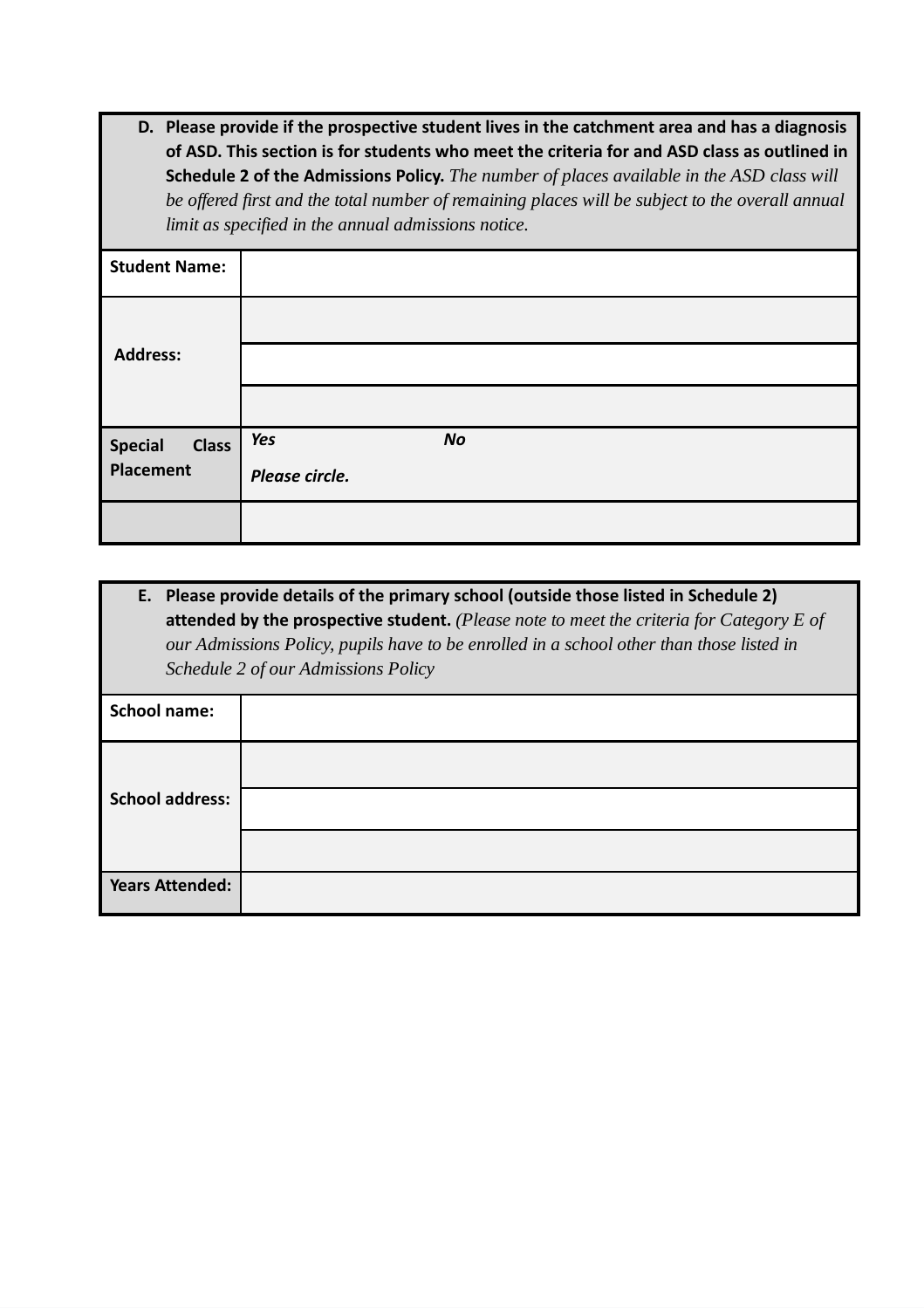**D. Please provide if the prospective student lives in the catchment area and has a diagnosis of ASD. This section is for students who meet the criteria for and ASD class as outlined in Schedule 2 of the Admissions Policy.** *The number of places available in the ASD class will be offered first and the total number of remaining places will be subject to the overall annual limit as specified in the annual admissions notice.*

| <b>Student Name:</b>    |                  |
|-------------------------|------------------|
|                         |                  |
| <b>Address:</b>         |                  |
|                         |                  |
| Special<br><b>Class</b> | Yes<br><b>No</b> |
| Placement               | Please circle.   |
|                         |                  |

**E. Please provide details of the primary school (outside those listed in Schedule 2) attended by the prospective student.** *(Please note to meet the criteria for Category E of our Admissions Policy, pupils have to be enrolled in a school other than those listed in Schedule 2 of our Admissions Policy*

| <b>School name:</b>    |  |
|------------------------|--|
|                        |  |
| <b>School address:</b> |  |
|                        |  |
| <b>Years Attended:</b> |  |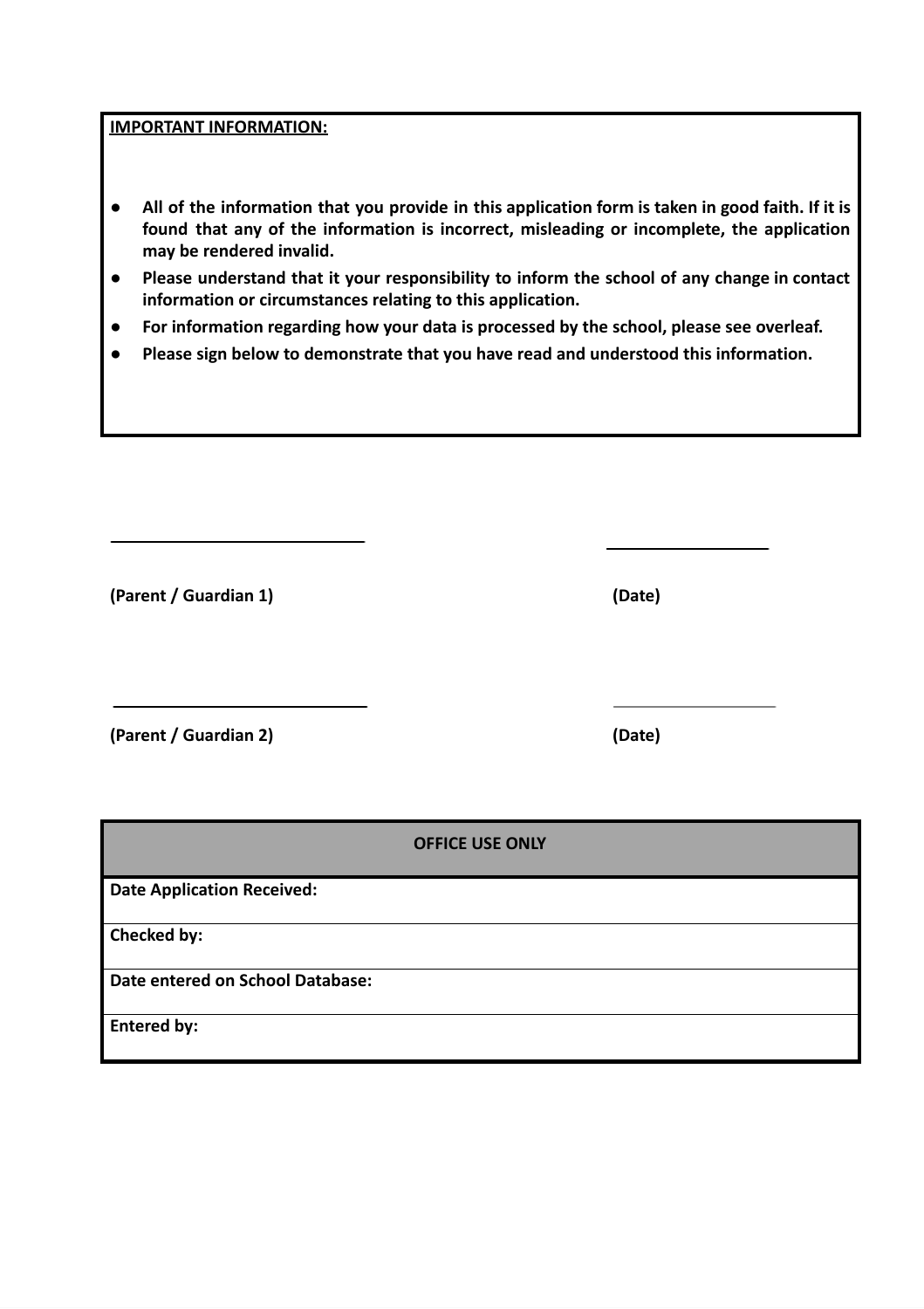**IMPORTANT INFORMATION:**

- All of the information that you provide in this application form is taken in good faith. If it is **found that any of the information is incorrect, misleading or incomplete, the application may be rendered invalid.**
- **● Please understand that it your responsibility to inform the school of any change in contact information or circumstances relating to this application.**
- **● For information regarding how your data is processed by the school, please see overleaf.**
- **● Please sign below to demonstrate that you have read and understood this information.**

**(Parent / Guardian 1) (Date)**

**(Parent / Guardian 2) (Date)**

|                                   | <b>OFFICE USE ONLY</b> |
|-----------------------------------|------------------------|
| <b>Date Application Received:</b> |                        |
| Checked by:                       |                        |
| Date entered on School Database:  |                        |
| <b>Entered by:</b>                |                        |